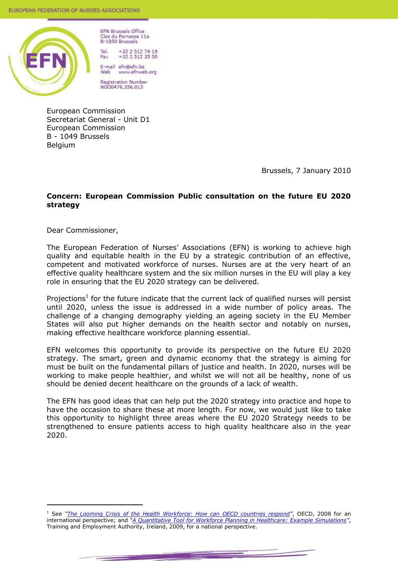

**EFN Brussels Office** Clos du Parnasse 11a B-1050 Brussels

Tol +32 2 512 74 19  $+32$  2 512 35 50 Fax

E-mail efn@efn.be www.efnweb.org Web

Registration Number NG00476.356.013

European Commission Secretariat General - Unit D1 European Commission B - 1049 Brussels Belgium

Brussels, 7 January 2010

## **Concern: European Commission Public consultation on the future EU 2020 strategy**

Dear Commissioner,

The European Federation of Nurses' Associations (EFN) is working to achieve high quality and equitable health in the EU by a strategic contribution of an effective, competent and motivated workforce of nurses. Nurses are at the very heart of an effective quality healthcare system and the six million nurses in the EU will play a key role in ensuring that the EU 2020 strategy can be delivered.

Projections<sup>1</sup> for the future indicate that the current lack of qualified nurses will persist until 2020, unless the issue is addressed in a wide number of policy areas. The challenge of a changing demography yielding an ageing society in the EU Member States will also put higher demands on the health sector and notably on nurses, making effective healthcare workforce planning essential.

EFN welcomes this opportunity to provide its perspective on the future EU 2020 strategy. The smart, green and dynamic economy that the strategy is aiming for must be built on the fundamental pillars of justice and health. In 2020, nurses will be working to make people healthier, and whilst we will not all be healthy, none of us should be denied decent healthcare on the grounds of a lack of wealth.

The EFN has good ideas that can help put the 2020 strategy into practice and hope to have the occasion to share these at more length. For now, we would just like to take this opportunity to highlight three areas where the EU 2020 Strategy needs to be strengthened to ensure patients access to high quality healthcare also in the year 2020.

<sup>&</sup>lt;sup>1</sup> See "*[The Looming Crisis of the Health Workforce: How can OECD countries respond](http://browse.oecdbookshop.org/oecd/pdfs/browseit/8108141E.PDF)", OECD, 2008 for an* international perspective; and *"[A Quantitative Tool for Workforce Planning in Healthcare: Example Simulations](http://www.skillsireland.ie/media/egfsn090617_healthcare_report.pdf)"*, Training and Employment Authority, Ireland, 2009, for a national perspective.

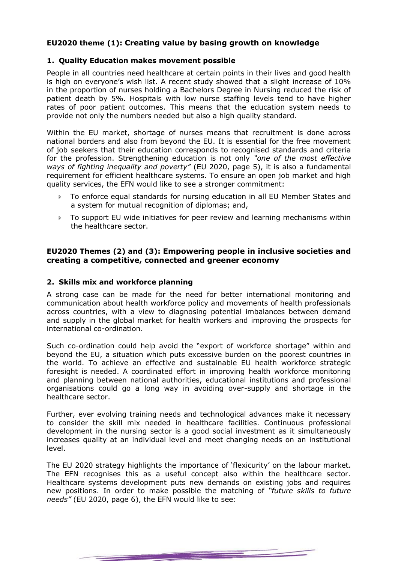# **EU2020 theme (1): Creating value by basing growth on knowledge**

#### **1. Quality Education makes movement possible**

People in all countries need healthcare at certain points in their lives and good health is high on everyone's wish list. A recent study showed that a slight increase of  $10\%$ in the proportion of nurses holding a Bachelors Degree in Nursing reduced the risk of patient death by 5%. Hospitals with low nurse staffing levels tend to have higher rates of poor patient outcomes. This means that the education system needs to provide not only the numbers needed but also a high quality standard.

Within the EU market, shortage of nurses means that recruitment is done across national borders and also from beyond the EU. It is essential for the free movement of job seekers that their education corresponds to recognised standards and criteria for the profession. Strengthening education is not only *"one of the most effective ways of fighting inequality and poverty"* (EU 2020, page 5), it is also a fundamental requirement for efficient healthcare systems. To ensure an open job market and high quality services, the EFN would like to see a stronger commitment:

- To enforce equal standards for nursing education in all EU Member States and a system for mutual recognition of diplomas; and,
- To support EU wide initiatives for peer review and learning mechanisms within the healthcare sector.

# **EU2020 Themes (2) and (3): Empowering people in inclusive societies and creating a competitive, connected and greener economy**

### **2. Skills mix and workforce planning**

A strong case can be made for the need for better international monitoring and communication about health workforce policy and movements of health professionals across countries, with a view to diagnosing potential imbalances between demand and supply in the global market for health workers and improving the prospects for international co-ordination.

Such co-ordination could help avoid the "export of workforce shortage" within and beyond the EU, a situation which puts excessive burden on the poorest countries in the world. To achieve an effective and sustainable EU health workforce strategic foresight is needed. A coordinated effort in improving health workforce monitoring and planning between national authorities, educational institutions and professional organisations could go a long way in avoiding over-supply and shortage in the healthcare sector.

Further, ever evolving training needs and technological advances make it necessary to consider the skill mix needed in healthcare facilities. Continuous professional development in the nursing sector is a good social investment as it simultaneously increases quality at an individual level and meet changing needs on an institutional level.

The EU 2020 strategy highlights the importance of "flexicurity" on the labour market. The EFN recognises this as a useful concept also within the healthcare sector. Healthcare systems development puts new demands on existing jobs and requires new positions. In order to make possible the matching of *"future skills to future needs"* (EU 2020, page 6), the EFN would like to see: